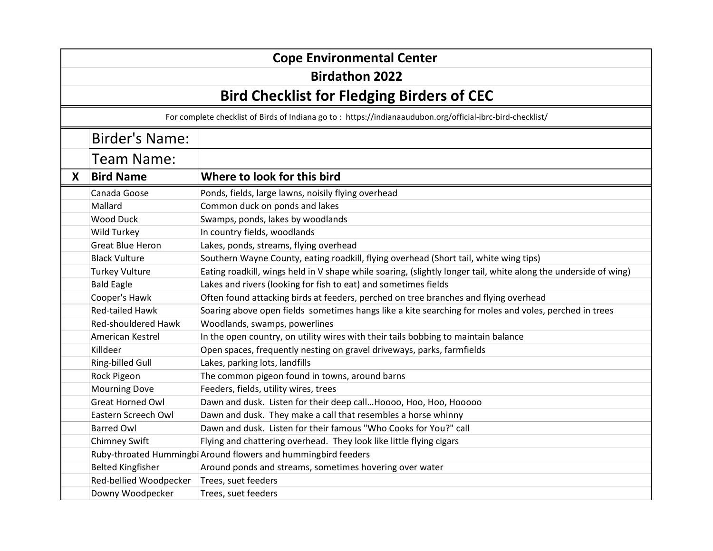| <b>Cope Environmental Center</b>                  |                                                                                                            |                                                                                                                 |  |
|---------------------------------------------------|------------------------------------------------------------------------------------------------------------|-----------------------------------------------------------------------------------------------------------------|--|
| <b>Birdathon 2022</b>                             |                                                                                                            |                                                                                                                 |  |
| <b>Bird Checklist for Fledging Birders of CEC</b> |                                                                                                            |                                                                                                                 |  |
|                                                   | For complete checklist of Birds of Indiana go to: https://indianaaudubon.org/official-ibrc-bird-checklist/ |                                                                                                                 |  |
|                                                   | <b>Birder's Name:</b>                                                                                      |                                                                                                                 |  |
|                                                   | Team Name:                                                                                                 |                                                                                                                 |  |
| X                                                 | <b>Bird Name</b>                                                                                           | Where to look for this bird                                                                                     |  |
|                                                   | Canada Goose                                                                                               | Ponds, fields, large lawns, noisily flying overhead                                                             |  |
|                                                   | Mallard                                                                                                    | Common duck on ponds and lakes                                                                                  |  |
|                                                   | <b>Wood Duck</b>                                                                                           | Swamps, ponds, lakes by woodlands                                                                               |  |
|                                                   | Wild Turkey                                                                                                | In country fields, woodlands                                                                                    |  |
|                                                   | <b>Great Blue Heron</b>                                                                                    | Lakes, ponds, streams, flying overhead                                                                          |  |
|                                                   | <b>Black Vulture</b>                                                                                       | Southern Wayne County, eating roadkill, flying overhead (Short tail, white wing tips)                           |  |
|                                                   | <b>Turkey Vulture</b>                                                                                      | Eating roadkill, wings held in V shape while soaring, (slightly longer tail, white along the underside of wing) |  |
|                                                   | <b>Bald Eagle</b>                                                                                          | Lakes and rivers (looking for fish to eat) and sometimes fields                                                 |  |
|                                                   | Cooper's Hawk                                                                                              | Often found attacking birds at feeders, perched on tree branches and flying overhead                            |  |
|                                                   | <b>Red-tailed Hawk</b>                                                                                     | Soaring above open fields sometimes hangs like a kite searching for moles and voles, perched in trees           |  |
|                                                   | <b>Red-shouldered Hawk</b>                                                                                 | Woodlands, swamps, powerlines                                                                                   |  |
|                                                   | American Kestrel                                                                                           | In the open country, on utility wires with their tails bobbing to maintain balance                              |  |
|                                                   | Killdeer                                                                                                   | Open spaces, frequently nesting on gravel driveways, parks, farmfields                                          |  |
|                                                   | Ring-billed Gull                                                                                           | Lakes, parking lots, landfills                                                                                  |  |
|                                                   | Rock Pigeon                                                                                                | The common pigeon found in towns, around barns                                                                  |  |
|                                                   | <b>Mourning Dove</b>                                                                                       | Feeders, fields, utility wires, trees                                                                           |  |
|                                                   | <b>Great Horned Owl</b>                                                                                    | Dawn and dusk. Listen for their deep call Hoooo, Hoo, Hoo, Hooooo                                               |  |
|                                                   | Eastern Screech Owl                                                                                        | Dawn and dusk. They make a call that resembles a horse whinny                                                   |  |
|                                                   | <b>Barred Owl</b>                                                                                          | Dawn and dusk. Listen for their famous "Who Cooks for You?" call                                                |  |
|                                                   | <b>Chimney Swift</b>                                                                                       | Flying and chattering overhead. They look like little flying cigars                                             |  |
|                                                   |                                                                                                            | Ruby-throated Hummingbi Around flowers and hummingbird feeders                                                  |  |
|                                                   | <b>Belted Kingfisher</b>                                                                                   | Around ponds and streams, sometimes hovering over water                                                         |  |
|                                                   | Red-bellied Woodpecker                                                                                     | Trees, suet feeders                                                                                             |  |
|                                                   | Downy Woodpecker                                                                                           | Trees, suet feeders                                                                                             |  |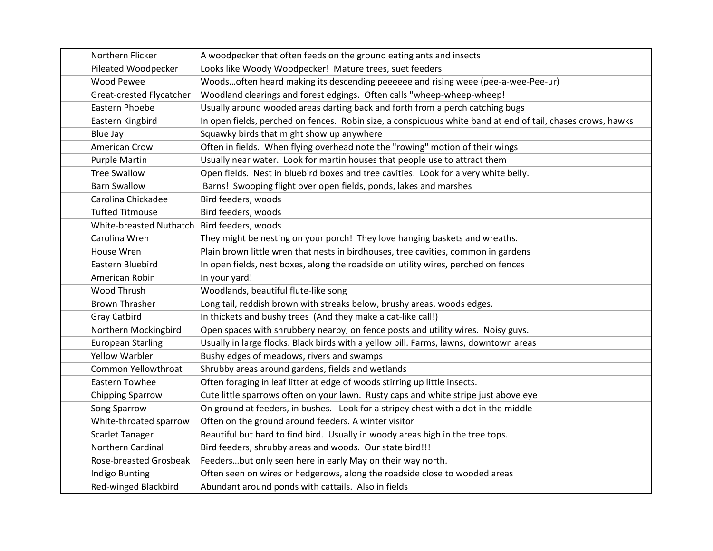| Northern Flicker                              | A woodpecker that often feeds on the ground eating ants and insects                                         |
|-----------------------------------------------|-------------------------------------------------------------------------------------------------------------|
| Pileated Woodpecker                           | Looks like Woody Woodpecker! Mature trees, suet feeders                                                     |
| <b>Wood Pewee</b>                             | Woodsoften heard making its descending peeeeee and rising weee (pee-a-wee-Pee-ur)                           |
| Great-crested Flycatcher                      | Woodland clearings and forest edgings. Often calls "wheep-wheep-wheep!                                      |
| Eastern Phoebe                                | Usually around wooded areas darting back and forth from a perch catching bugs                               |
| Eastern Kingbird                              | In open fields, perched on fences. Robin size, a conspicuous white band at end of tail, chases crows, hawks |
| <b>Blue Jay</b>                               | Squawky birds that might show up anywhere                                                                   |
| American Crow                                 | Often in fields. When flying overhead note the "rowing" motion of their wings                               |
| <b>Purple Martin</b>                          | Usually near water. Look for martin houses that people use to attract them                                  |
| <b>Tree Swallow</b>                           | Open fields. Nest in bluebird boxes and tree cavities. Look for a very white belly.                         |
| <b>Barn Swallow</b>                           | Barns! Swooping flight over open fields, ponds, lakes and marshes                                           |
| Carolina Chickadee                            | Bird feeders, woods                                                                                         |
| <b>Tufted Titmouse</b>                        | Bird feeders, woods                                                                                         |
| White-breasted Nuthatch   Bird feeders, woods |                                                                                                             |
| Carolina Wren                                 | They might be nesting on your porch! They love hanging baskets and wreaths.                                 |
| House Wren                                    | Plain brown little wren that nests in birdhouses, tree cavities, common in gardens                          |
| Eastern Bluebird                              | In open fields, nest boxes, along the roadside on utility wires, perched on fences                          |
| American Robin                                | In your yard!                                                                                               |
| Wood Thrush                                   | Woodlands, beautiful flute-like song                                                                        |
| <b>Brown Thrasher</b>                         | Long tail, reddish brown with streaks below, brushy areas, woods edges.                                     |
| <b>Gray Catbird</b>                           | In thickets and bushy trees (And they make a cat-like call!)                                                |
| Northern Mockingbird                          | Open spaces with shrubbery nearby, on fence posts and utility wires. Noisy guys.                            |
| <b>European Starling</b>                      | Usually in large flocks. Black birds with a yellow bill. Farms, lawns, downtown areas                       |
| <b>Yellow Warbler</b>                         | Bushy edges of meadows, rivers and swamps                                                                   |
| Common Yellowthroat                           | Shrubby areas around gardens, fields and wetlands                                                           |
| Eastern Towhee                                | Often foraging in leaf litter at edge of woods stirring up little insects.                                  |
| <b>Chipping Sparrow</b>                       | Cute little sparrows often on your lawn. Rusty caps and white stripe just above eye                         |
| Song Sparrow                                  | On ground at feeders, in bushes. Look for a stripey chest with a dot in the middle                          |
| White-throated sparrow                        | Often on the ground around feeders. A winter visitor                                                        |
| <b>Scarlet Tanager</b>                        | Beautiful but hard to find bird. Usually in woody areas high in the tree tops.                              |
| Northern Cardinal                             | Bird feeders, shrubby areas and woods. Our state bird!!!                                                    |
| Rose-breasted Grosbeak                        | Feedersbut only seen here in early May on their way north.                                                  |
| <b>Indigo Bunting</b>                         | Often seen on wires or hedgerows, along the roadside close to wooded areas                                  |
| Red-winged Blackbird                          | Abundant around ponds with cattails. Also in fields                                                         |